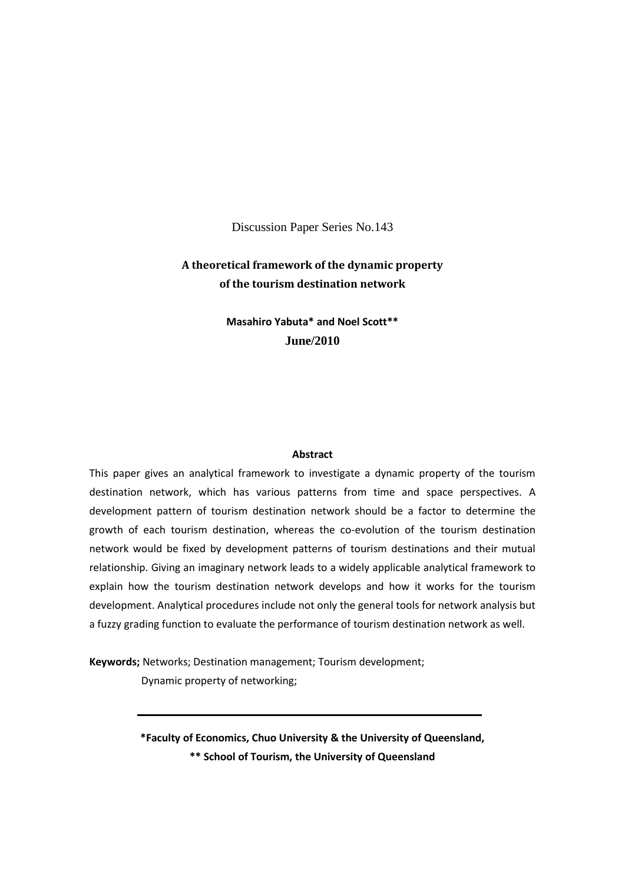Discussion Paper Series No.143

## **A theoretical framework of the dynamic property of the tourism destination network**

**Masahiro Yabuta\* and Noel Scott\*\* June/2010**

#### **Abstract**

This paper gives an analytical framework to investigate a dynamic property of the tourism destination network, which has various patterns from time and space perspectives. A development pattern of tourism destination network should be a factor to determine the growth of each tourism destination, whereas the co-evolution of the tourism destination network would be fixed by development patterns of tourism destinations and their mutual relationship. Giving an imaginary network leads to a widely applicable analytical framework to explain how the tourism destination network develops and how it works for the tourism development. Analytical procedures include not only the general tools for network analysis but a fuzzy grading function to evaluate the performance of tourism destination network as well.

**Keywords;** Networks; Destination management; Tourism development; Dynamic property of networking;

> **\*Faculty of Economics, Chuo University & the University of Queensland, \*\* School of Tourism, the University of Queensland**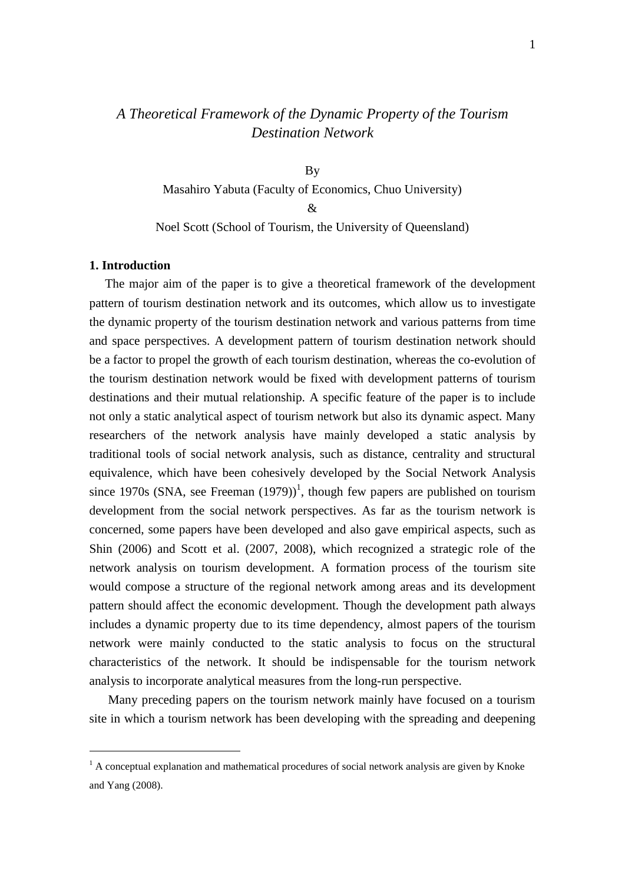# *A Theoretical Framework of the Dynamic Property of the Tourism Destination Network*

By Masahiro Yabuta (Faculty of Economics, Chuo University)  $\mathcal{R}$ Noel Scott (School of Tourism, the University of Queensland)

#### **1. Introduction**

1

 The major aim of the paper is to give a theoretical framework of the development pattern of tourism destination network and its outcomes, which allow us to investigate the dynamic property of the tourism destination network and various patterns from time and space perspectives. A development pattern of tourism destination network should be a factor to propel the growth of each tourism destination, whereas the co-evolution of the tourism destination network would be fixed with development patterns of tourism destinations and their mutual relationship. A specific feature of the paper is to include not only a static analytical aspect of tourism network but also its dynamic aspect. Many researchers of the network analysis have mainly developed a static analysis by traditional tools of social network analysis, such as distance, centrality and structural equivalence, which have been cohesively developed by the Social Network Analysis since 1970s (SNA, see Freeman  $(1979)$ )<sup>1</sup>, though few papers are published on tourism development from the social network perspectives. As far as the tourism network is concerned, some papers have been developed and also gave empirical aspects, such as Shin (2006) and Scott et al. (2007, 2008), which recognized a strategic role of the network analysis on tourism development. A formation process of the tourism site would compose a structure of the regional network among areas and its development pattern should affect the economic development. Though the development path always includes a dynamic property due to its time dependency, almost papers of the tourism network were mainly conducted to the static analysis to focus on the structural characteristics of the network. It should be indispensable for the tourism network analysis to incorporate analytical measures from the long-run perspective.

 Many preceding papers on the tourism network mainly have focused on a tourism site in which a tourism network has been developing with the spreading and deepening

 $<sup>1</sup>$  A conceptual explanation and mathematical procedures of social network analysis are given by Knoke</sup> and Yang (2008).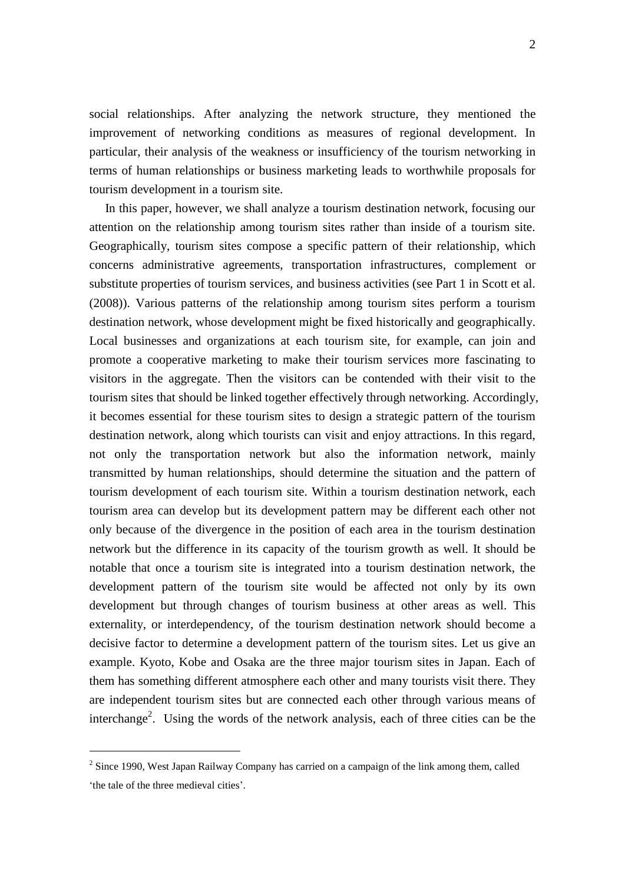social relationships. After analyzing the network structure, they mentioned the improvement of networking conditions as measures of regional development. In particular, their analysis of the weakness or insufficiency of the tourism networking in terms of human relationships or business marketing leads to worthwhile proposals for tourism development in a tourism site.

 In this paper, however, we shall analyze a tourism destination network, focusing our attention on the relationship among tourism sites rather than inside of a tourism site. Geographically, tourism sites compose a specific pattern of their relationship, which concerns administrative agreements, transportation infrastructures, complement or substitute properties of tourism services, and business activities (see Part 1 in Scott et al. (2008)). Various patterns of the relationship among tourism sites perform a tourism destination network, whose development might be fixed historically and geographically. Local businesses and organizations at each tourism site, for example, can join and promote a cooperative marketing to make their tourism services more fascinating to visitors in the aggregate. Then the visitors can be contended with their visit to the tourism sites that should be linked together effectively through networking. Accordingly, it becomes essential for these tourism sites to design a strategic pattern of the tourism destination network, along which tourists can visit and enjoy attractions. In this regard, not only the transportation network but also the information network, mainly transmitted by human relationships, should determine the situation and the pattern of tourism development of each tourism site. Within a tourism destination network, each tourism area can develop but its development pattern may be different each other not only because of the divergence in the position of each area in the tourism destination network but the difference in its capacity of the tourism growth as well. It should be notable that once a tourism site is integrated into a tourism destination network, the development pattern of the tourism site would be affected not only by its own development but through changes of tourism business at other areas as well. This externality, or interdependency, of the tourism destination network should become a decisive factor to determine a development pattern of the tourism sites. Let us give an example. Kyoto, Kobe and Osaka are the three major tourism sites in Japan. Each of them has something different atmosphere each other and many tourists visit there. They are independent tourism sites but are connected each other through various means of interchange<sup>2</sup>. Using the words of the network analysis, each of three cities can be the

1

 $2^{2}$  Since 1990, West Japan Railway Company has carried on a campaign of the link among them, called "the tale of the three medieval cities".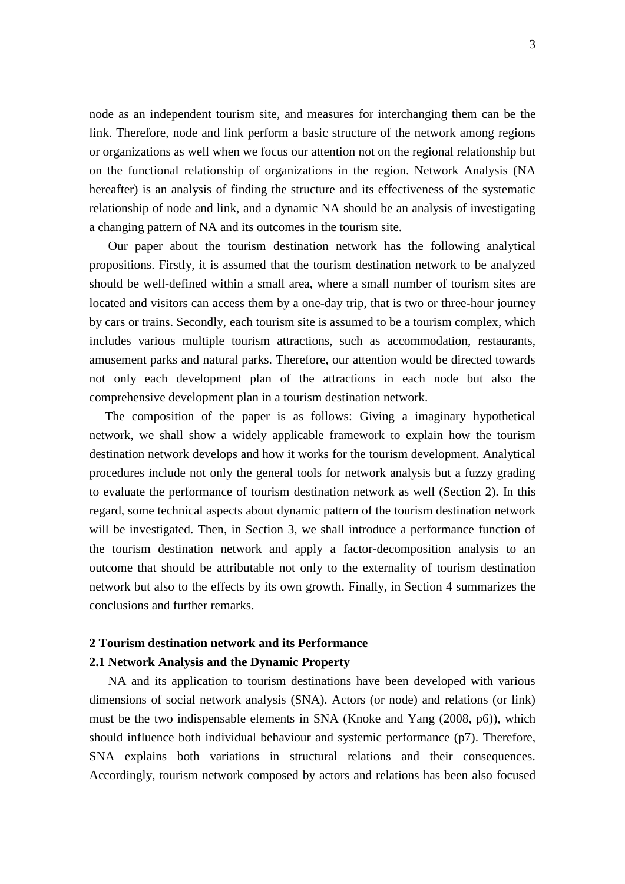node as an independent tourism site, and measures for interchanging them can be the link. Therefore, node and link perform a basic structure of the network among regions or organizations as well when we focus our attention not on the regional relationship but on the functional relationship of organizations in the region. Network Analysis (NA hereafter) is an analysis of finding the structure and its effectiveness of the systematic relationship of node and link, and a dynamic NA should be an analysis of investigating a changing pattern of NA and its outcomes in the tourism site.

 Our paper about the tourism destination network has the following analytical propositions. Firstly, it is assumed that the tourism destination network to be analyzed should be well-defined within a small area, where a small number of tourism sites are located and visitors can access them by a one-day trip, that is two or three-hour journey by cars or trains. Secondly, each tourism site is assumed to be a tourism complex, which includes various multiple tourism attractions, such as accommodation, restaurants, amusement parks and natural parks. Therefore, our attention would be directed towards not only each development plan of the attractions in each node but also the comprehensive development plan in a tourism destination network.

 The composition of the paper is as follows: Giving a imaginary hypothetical network, we shall show a widely applicable framework to explain how the tourism destination network develops and how it works for the tourism development. Analytical procedures include not only the general tools for network analysis but a fuzzy grading to evaluate the performance of tourism destination network as well (Section 2). In this regard, some technical aspects about dynamic pattern of the tourism destination network will be investigated. Then, in Section 3, we shall introduce a performance function of the tourism destination network and apply a factor-decomposition analysis to an outcome that should be attributable not only to the externality of tourism destination network but also to the effects by its own growth. Finally, in Section 4 summarizes the conclusions and further remarks.

## **2 Tourism destination network and its Performance**

## **2.1 Network Analysis and the Dynamic Property**

 NA and its application to tourism destinations have been developed with various dimensions of social network analysis (SNA). Actors (or node) and relations (or link) must be the two indispensable elements in SNA (Knoke and Yang (2008, p6)), which should influence both individual behaviour and systemic performance (p7). Therefore, SNA explains both variations in structural relations and their consequences. Accordingly, tourism network composed by actors and relations has been also focused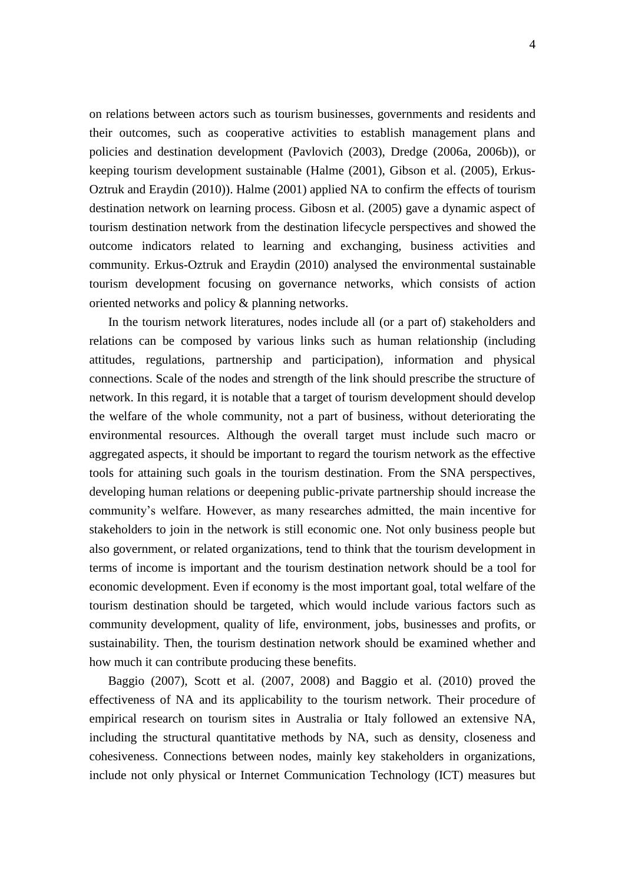on relations between actors such as tourism businesses, governments and residents and their outcomes, such as cooperative activities to establish management plans and policies and destination development (Pavlovich (2003), Dredge (2006a, 2006b)), or keeping tourism development sustainable (Halme (2001), Gibson et al. (2005), Erkus-Oztruk and Eraydin (2010)). Halme (2001) applied NA to confirm the effects of tourism destination network on learning process. Gibosn et al. (2005) gave a dynamic aspect of tourism destination network from the destination lifecycle perspectives and showed the outcome indicators related to learning and exchanging, business activities and community. Erkus-Oztruk and Eraydin (2010) analysed the environmental sustainable tourism development focusing on governance networks, which consists of action oriented networks and policy & planning networks.

 In the tourism network literatures, nodes include all (or a part of) stakeholders and relations can be composed by various links such as human relationship (including attitudes, regulations, partnership and participation), information and physical connections. Scale of the nodes and strength of the link should prescribe the structure of network. In this regard, it is notable that a target of tourism development should develop the welfare of the whole community, not a part of business, without deteriorating the environmental resources. Although the overall target must include such macro or aggregated aspects, it should be important to regard the tourism network as the effective tools for attaining such goals in the tourism destination. From the SNA perspectives, developing human relations or deepening public-private partnership should increase the community"s welfare. However, as many researches admitted, the main incentive for stakeholders to join in the network is still economic one. Not only business people but also government, or related organizations, tend to think that the tourism development in terms of income is important and the tourism destination network should be a tool for economic development. Even if economy is the most important goal, total welfare of the tourism destination should be targeted, which would include various factors such as community development, quality of life, environment, jobs, businesses and profits, or sustainability. Then, the tourism destination network should be examined whether and how much it can contribute producing these benefits.

 Baggio (2007), Scott et al. (2007, 2008) and Baggio et al. (2010) proved the effectiveness of NA and its applicability to the tourism network. Their procedure of empirical research on tourism sites in Australia or Italy followed an extensive NA, including the structural quantitative methods by NA, such as density, closeness and cohesiveness. Connections between nodes, mainly key stakeholders in organizations, include not only physical or Internet Communication Technology (ICT) measures but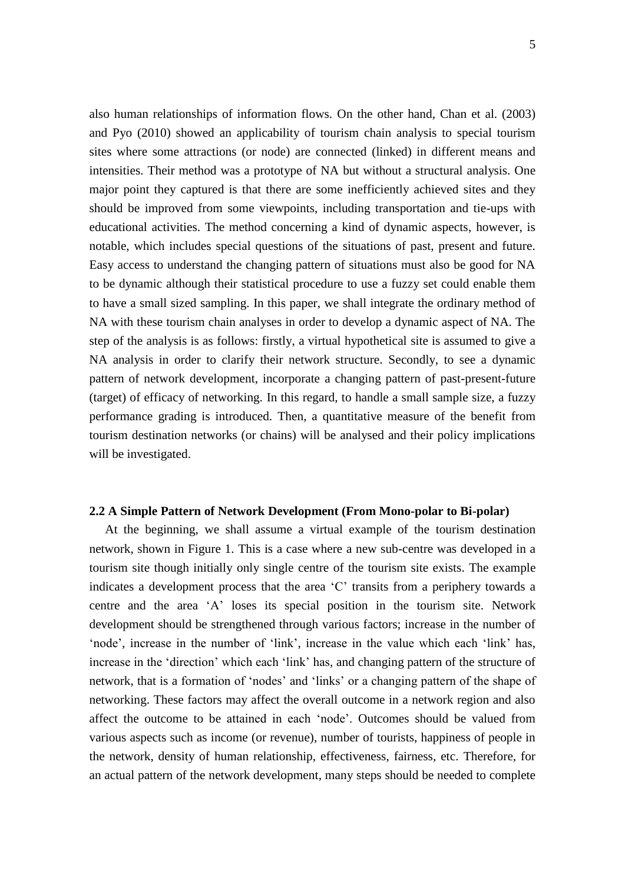5

also human relationships of information flows. On the other hand, Chan et al. (2003) and Pyo (2010) showed an applicability of tourism chain analysis to special tourism sites where some attractions (or node) are connected (linked) in different means and intensities. Their method was a prototype of NA but without a structural analysis. One major point they captured is that there are some inefficiently achieved sites and they should be improved from some viewpoints, including transportation and tie-ups with educational activities. The method concerning a kind of dynamic aspects, however, is notable, which includes special questions of the situations of past, present and future. Easy access to understand the changing pattern of situations must also be good for NA to be dynamic although their statistical procedure to use a fuzzy set could enable them to have a small sized sampling. In this paper, we shall integrate the ordinary method of NA with these tourism chain analyses in order to develop a dynamic aspect of NA. The step of the analysis is as follows: firstly, a virtual hypothetical site is assumed to give a NA analysis in order to clarify their network structure. Secondly, to see a dynamic pattern of network development, incorporate a changing pattern of past-present-future (target) of efficacy of networking. In this regard, to handle a small sample size, a fuzzy performance grading is introduced. Then, a quantitative measure of the benefit from tourism destination networks (or chains) will be analysed and their policy implications will be investigated.

### **2.2 A Simple Pattern of Network Development (From Mono-polar to Bi-polar)**

 At the beginning, we shall assume a virtual example of the tourism destination network, shown in Figure 1. This is a case where a new sub-centre was developed in a tourism site though initially only single centre of the tourism site exists. The example indicates a development process that the area "C" transits from a periphery towards a centre and the area "A" loses its special position in the tourism site. Network development should be strengthened through various factors; increase in the number of "node", increase in the number of 'link', increase in the value which each 'link' has, increase in the "direction" which each "link" has, and changing pattern of the structure of network, that is a formation of "nodes" and "links" or a changing pattern of the shape of networking. These factors may affect the overall outcome in a network region and also affect the outcome to be attained in each "node". Outcomes should be valued from various aspects such as income (or revenue), number of tourists, happiness of people in the network, density of human relationship, effectiveness, fairness, etc. Therefore, for an actual pattern of the network development, many steps should be needed to complete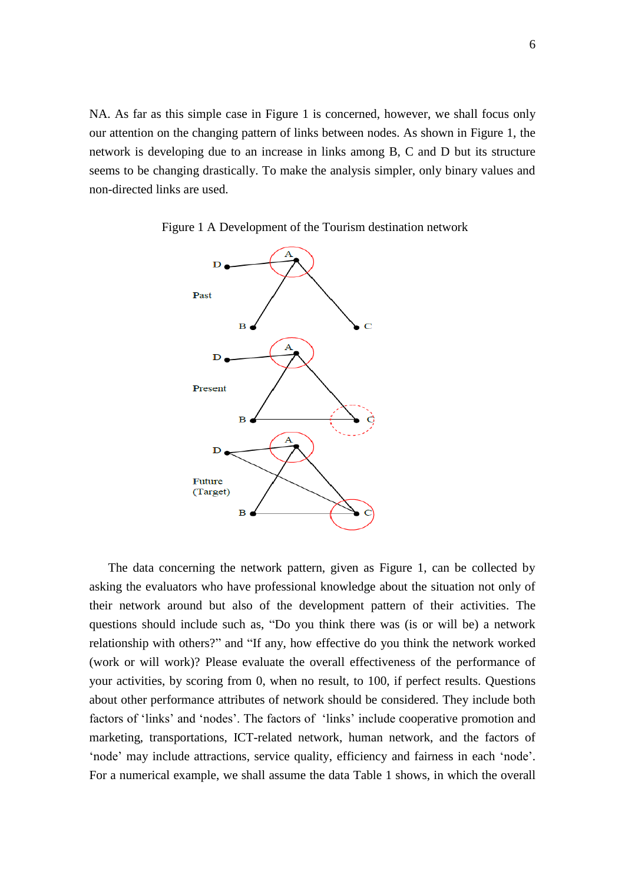NA. As far as this simple case in Figure 1 is concerned, however, we shall focus only our attention on the changing pattern of links between nodes. As shown in Figure 1, the network is developing due to an increase in links among B, C and D but its structure seems to be changing drastically. To make the analysis simpler, only binary values and non-directed links are used.



Figure 1 A Development of the Tourism destination network

 The data concerning the network pattern, given as Figure 1, can be collected by asking the evaluators who have professional knowledge about the situation not only of their network around but also of the development pattern of their activities. The questions should include such as, "Do you think there was (is or will be) a network relationship with others?" and "If any, how effective do you think the network worked (work or will work)? Please evaluate the overall effectiveness of the performance of your activities, by scoring from 0, when no result, to 100, if perfect results. Questions about other performance attributes of network should be considered. They include both factors of 'links' and 'nodes'. The factors of 'links' include cooperative promotion and marketing, transportations, ICT-related network, human network, and the factors of 'node' may include attractions, service quality, efficiency and fairness in each 'node'. For a numerical example, we shall assume the data Table 1 shows, in which the overall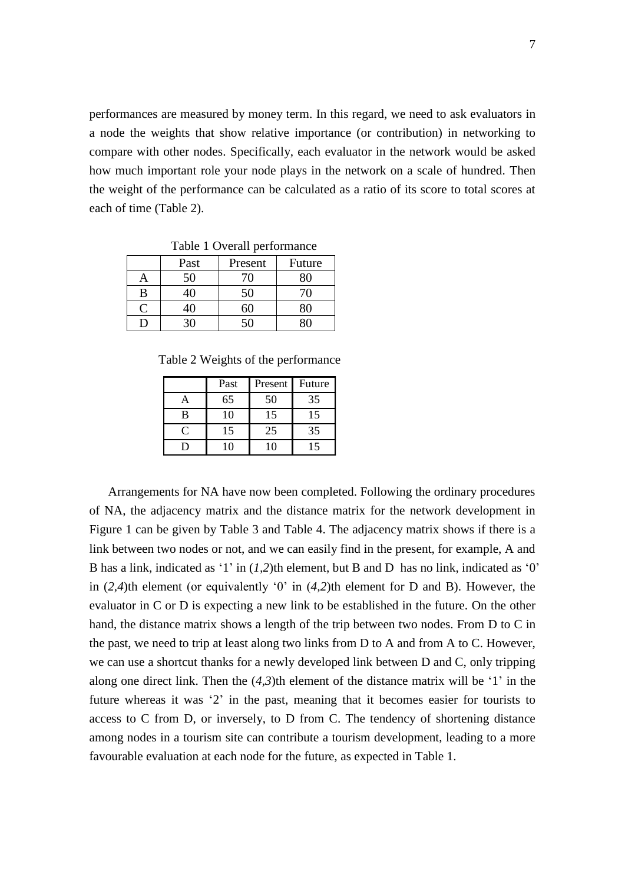performances are measured by money term. In this regard, we need to ask evaluators in a node the weights that show relative importance (or contribution) in networking to compare with other nodes. Specifically, each evaluator in the network would be asked how much important role your node plays in the network on a scale of hundred. Then the weight of the performance can be calculated as a ratio of its score to total scores at each of time (Table 2).

| Table I Overall performance |      |         |        |  |  |  |
|-----------------------------|------|---------|--------|--|--|--|
|                             | Past | Present | Future |  |  |  |
| A                           | 50   | 70      | $80\,$ |  |  |  |
| B                           | 40   | 50      | 70     |  |  |  |
| $\mathcal{C}$               | 40   | 5U      |        |  |  |  |
| Ð                           | 30   | 50      |        |  |  |  |

Table 1 Overall performance

Table 2 Weights of the performance

|              | Past | Present | Future |
|--------------|------|---------|--------|
|              | 65   | 50      | 35     |
| B            | 10   | 15      | 15     |
| $\mathsf{C}$ | 15   | 25      | 35     |
| . .          |      |         | 5      |

 Arrangements for NA have now been completed. Following the ordinary procedures of NA, the adjacency matrix and the distance matrix for the network development in Figure 1 can be given by Table 3 and Table 4. The adjacency matrix shows if there is a link between two nodes or not, and we can easily find in the present, for example, A and B has a link, indicated as '1' in (*1*,2)th element, but B and D has no link, indicated as '0' in (*2,4*)th element (or equivalently "0" in (*4,2*)th element for D and B). However, the evaluator in C or D is expecting a new link to be established in the future. On the other hand, the distance matrix shows a length of the trip between two nodes. From D to C in the past, we need to trip at least along two links from D to A and from A to C. However, we can use a shortcut thanks for a newly developed link between D and C, only tripping along one direct link. Then the  $(4,3)$ th element of the distance matrix will be '1' in the future whereas it was '2' in the past, meaning that it becomes easier for tourists to access to C from D, or inversely, to D from C. The tendency of shortening distance among nodes in a tourism site can contribute a tourism development, leading to a more favourable evaluation at each node for the future, as expected in Table 1.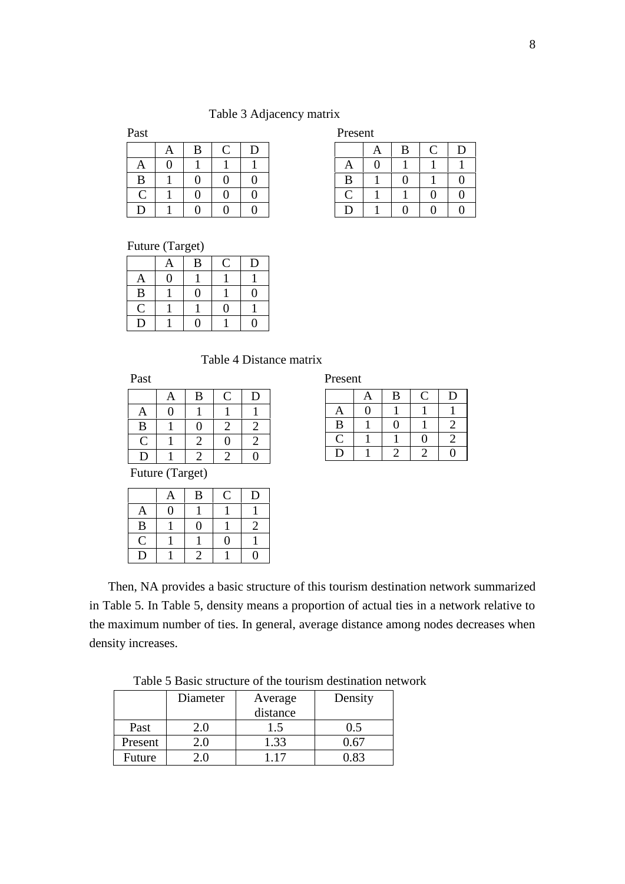## Table 3 Adjacency matrix

|   | A        | B | C | D |
|---|----------|---|---|---|
| A | $\Omega$ |   |   |   |
| B |          | 0 | 0 | 0 |
| Ċ |          | 0 | 0 | 0 |
| D |          | 0 | 0 | Λ |

| Past |   |  |  | Present |   |   |  |
|------|---|--|--|---------|---|---|--|
|      | A |  |  |         | Α | B |  |
|      |   |  |  | A       |   |   |  |
| B    |   |  |  | ĸ       |   |   |  |
|      |   |  |  |         |   |   |  |
|      |   |  |  |         |   |   |  |

Future (Target)

|              | Ą              | B | $\overline{\rm C}$ | D |
|--------------|----------------|---|--------------------|---|
| A            | $\overline{0}$ |   |                    |   |
| $\bf{B}$     |                | 9 |                    | 0 |
| $\mathsf{C}$ |                |   | 0                  |   |
| D            |                |   |                    |   |

Table 4 Distance matrix

|                | Α | B | C | D |
|----------------|---|---|---|---|
| A              | 0 |   |   |   |
| B              |   | 0 |   | 2 |
| $\overline{C}$ |   | 2 | 0 | 2 |
| D              |   |   |   |   |

| Past | Present |
|------|---------|
|      |         |

|             | A        | B | Ċ                           | $\mathbf D$ |
|-------------|----------|---|-----------------------------|-------------|
| Ą           | $\Omega$ |   |                             |             |
| B           |          | 0 |                             | 2           |
| $\mathsf C$ |          |   | 0                           | 2           |
| D           |          |   | $\mathcal{D}_{\mathcal{A}}$ | 0           |

Future (Target)

|              | A | B        | Ć | D              |
|--------------|---|----------|---|----------------|
| A            | ⋂ |          |   |                |
| $\, {\bf B}$ |   | $\Omega$ |   | $\mathfrak{D}$ |
| $\mathbf C$  |   |          | 0 |                |
| D            |   |          |   |                |

 Then, NA provides a basic structure of this tourism destination network summarized in Table 5. In Table 5, density means a proportion of actual ties in a network relative to the maximum number of ties. In general, average distance among nodes decreases when density increases.

|  |  | Table 5 Basic structure of the tourism destination network |  |
|--|--|------------------------------------------------------------|--|
|  |  |                                                            |  |

|         | Diameter      | Average    | Density |
|---------|---------------|------------|---------|
|         |               | distance   |         |
| Past    |               | $\cdot$ .5 |         |
| Present | $\cdot$ . ( ) | 1.33       |         |
| Future  |               |            |         |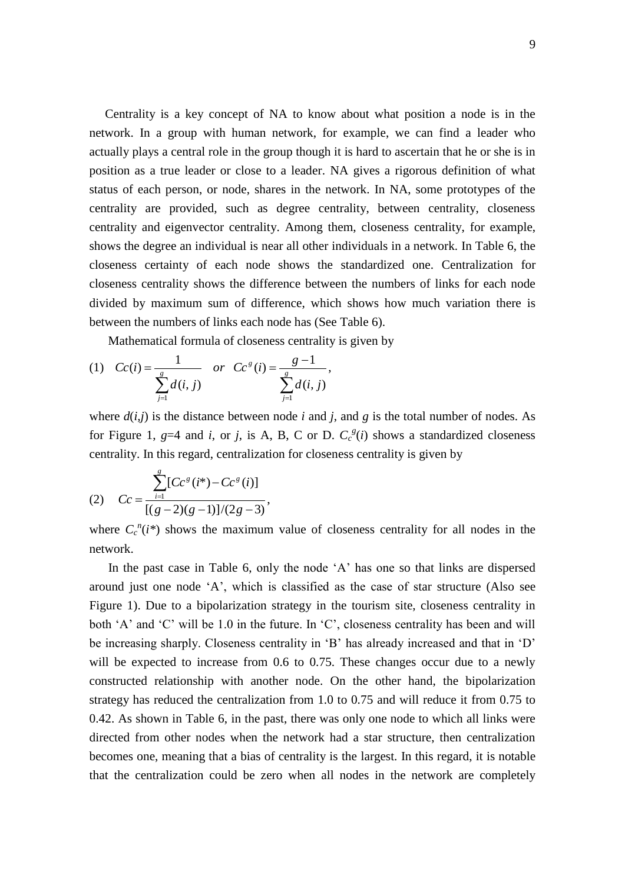Centrality is a key concept of NA to know about what position a node is in the network. In a group with human network, for example, we can find a leader who actually plays a central role in the group though it is hard to ascertain that he or she is in position as a true leader or close to a leader. NA gives a rigorous definition of what status of each person, or node, shares in the network. In NA, some prototypes of the centrality are provided, such as degree centrality, between centrality, closeness centrality and eigenvector centrality. Among them, closeness centrality, for example, shows the degree an individual is near all other individuals in a network. In Table 6, the closeness certainty of each node shows the standardized one. Centralization for closeness centrality shows the difference between the numbers of links for each node divided by maximum sum of difference, which shows how much variation there is between the numbers of links each node has (See Table 6).

Mathematical formula of closeness centrality is given by

(1) 
$$
Cc(i) = \frac{1}{\sum_{j=1}^{g} d(i, j)} \quad or \quad Cc^{g}(i) = \frac{g-1}{\sum_{j=1}^{g} d(i, j)},
$$

where  $d(i, j)$  is the distance between node *i* and *j*, and *g* is the total number of nodes. As for Figure 1,  $g=4$  and *i*, or *j*, is A, B, C or D.  $C_c^g(i)$  shows a standardized closeness centrality. In this regard, centralization for closeness centrality is given by

(2) 
$$
Cc = \frac{\sum_{i=1}^{g} [C c^{g} (i^{*}) - C c^{g} (i)]}{[(g-2)(g-1)]/(2g-3)},
$$

where  $C_c^n(i^*)$  shows the maximum value of closeness centrality for all nodes in the network.

 In the past case in Table 6, only the node "A" has one so that links are dispersed around just one node "A", which is classified as the case of star structure (Also see Figure 1). Due to a bipolarization strategy in the tourism site, closeness centrality in both 'A' and 'C' will be 1.0 in the future. In 'C', closeness centrality has been and will be increasing sharply. Closeness centrality in 'B' has already increased and that in 'D' will be expected to increase from 0.6 to 0.75. These changes occur due to a newly constructed relationship with another node. On the other hand, the bipolarization strategy has reduced the centralization from 1.0 to 0.75 and will reduce it from 0.75 to 0.42. As shown in Table 6, in the past, there was only one node to which all links were directed from other nodes when the network had a star structure, then centralization becomes one, meaning that a bias of centrality is the largest. In this regard, it is notable that the centralization could be zero when all nodes in the network are completely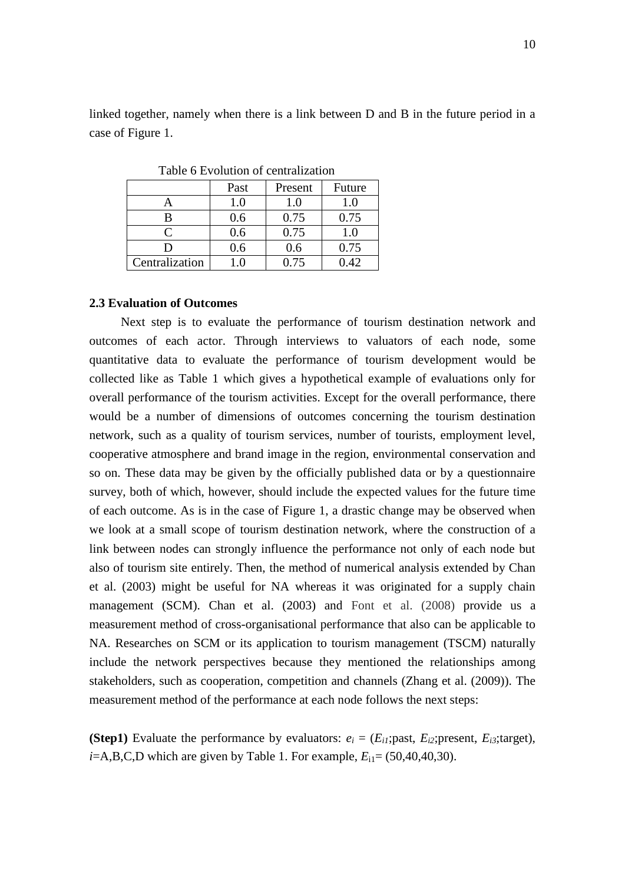linked together, namely when there is a link between D and B in the future period in a case of Figure 1.

|                | Past | Present | Future |
|----------------|------|---------|--------|
|                | 1.0  | 1.0     | 1.0    |
| R              | 0.6  | 0.75    | 0.75   |
| $\subset$      | 0.6  | 0.75    | 1.0    |
|                | 0.6  | 0.6     | 0.75   |
| Centralization | $+0$ | 0.75    | 0.42   |

Table 6 Evolution of centralization

#### **2.3 Evaluation of Outcomes**

 Next step is to evaluate the performance of tourism destination network and outcomes of each actor. Through interviews to valuators of each node, some quantitative data to evaluate the performance of tourism development would be collected like as Table 1 which gives a hypothetical example of evaluations only for overall performance of the tourism activities. Except for the overall performance, there would be a number of dimensions of outcomes concerning the tourism destination network, such as a quality of tourism services, number of tourists, employment level, cooperative atmosphere and brand image in the region, environmental conservation and so on. These data may be given by the officially published data or by a questionnaire survey, both of which, however, should include the expected values for the future time of each outcome. As is in the case of Figure 1, a drastic change may be observed when we look at a small scope of tourism destination network, where the construction of a link between nodes can strongly influence the performance not only of each node but also of tourism site entirely. Then, the method of numerical analysis extended by Chan et al. (2003) might be useful for NA whereas it was originated for a supply chain management (SCM). Chan et al. (2003) and Font et al. (2008) provide us a measurement method of cross-organisational performance that also can be applicable to NA. Researches on SCM or its application to tourism management (TSCM) naturally include the network perspectives because they mentioned the relationships among stakeholders, such as cooperation, competition and channels (Zhang et al. (2009)). The measurement method of the performance at each node follows the next steps:

**(Step1)** Evaluate the performance by evaluators:  $e_i = (E_{i1})$ ; past,  $E_{i2}$ ; present,  $E_{i3}$ ; target),  $i=$ A,B,C,D which are given by Table 1. For example,  $E_{i1}$  = (50,40,40,30).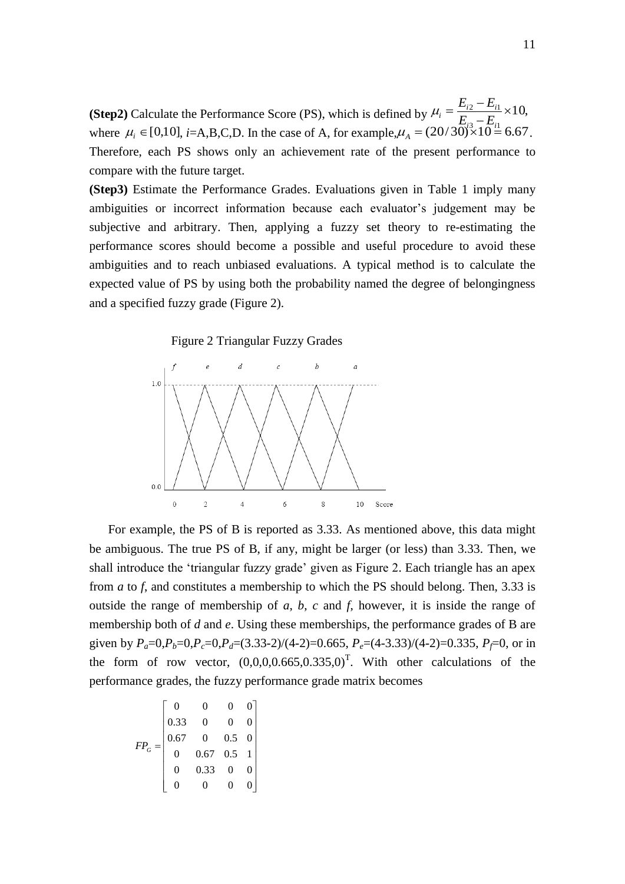10,  $3 - Li$  $\frac{2 - \mathcal{L}_{i1}}{\mathcal{L}} \times$  $\overline{a}$  $=\frac{E_{i2}-1}{i}$  $i^3$   $\overline{10}$  $E_i = \frac{E_{i2} - E_i}{E_{i3} - E_i}$  $\mu_i = \frac{E_{i2} - E}{E_{i2} - E}$  $\mu_i \in [0,10]$ , *i*=A,B,C,D. In the case of A, for example, $\mu_A = (20/30)^3 \times 10^{-11}$  6.67 **(Step2)** Calculate the Performance Score (PS), which is defined by where  $\mu_i \in [0,10]$ , *i*=A,B,C,D. In the case of A, for example,  $\mu_A = (20/30) \times 10 = 6.67$ . Therefore, each PS shows only an achievement rate of the present performance to compare with the future target.

**(Step3)** Estimate the Performance Grades. Evaluations given in Table 1 imply many ambiguities or incorrect information because each evaluator"s judgement may be subjective and arbitrary. Then, applying a fuzzy set theory to re-estimating the performance scores should become a possible and useful procedure to avoid these ambiguities and to reach unbiased evaluations. A typical method is to calculate the expected value of PS by using both the probability named the degree of belongingness and a specified fuzzy grade (Figure 2).

Figure 2 Triangular Fuzzy Grades



 For example, the PS of B is reported as 3.33. As mentioned above, this data might be ambiguous. The true PS of B, if any, might be larger (or less) than 3.33. Then, we shall introduce the "triangular fuzzy grade" given as Figure 2. Each triangle has an apex from *a* to *f*, and constitutes a membership to which the PS should belong. Then, 3.33 is outside the range of membership of *a*, *b*, *c* and *f*, however, it is inside the range of membership both of *d* and *e*. Using these memberships, the performance grades of B are given by  $P_a=0, P_b=0, P_c=0, P_d=(3.33-2)/(4-2)=0.665, P_e=(4-3.33)/(4-2)=0.335, P_f=0,$  or in the form of row vector,  $(0,0,0,0.665,0.335,0)^T$ . With other calculations of the performance grades, the fuzzy performance grade matrix becomes

$$
FP_G = \begin{bmatrix} 0 & 0 & 0 & 0 \\ 0.33 & 0 & 0 & 0 \\ 0.67 & 0 & 0.5 & 0 \\ 0 & 0.67 & 0.5 & 1 \\ 0 & 0.33 & 0 & 0 \\ 0 & 0 & 0 & 0 \end{bmatrix}
$$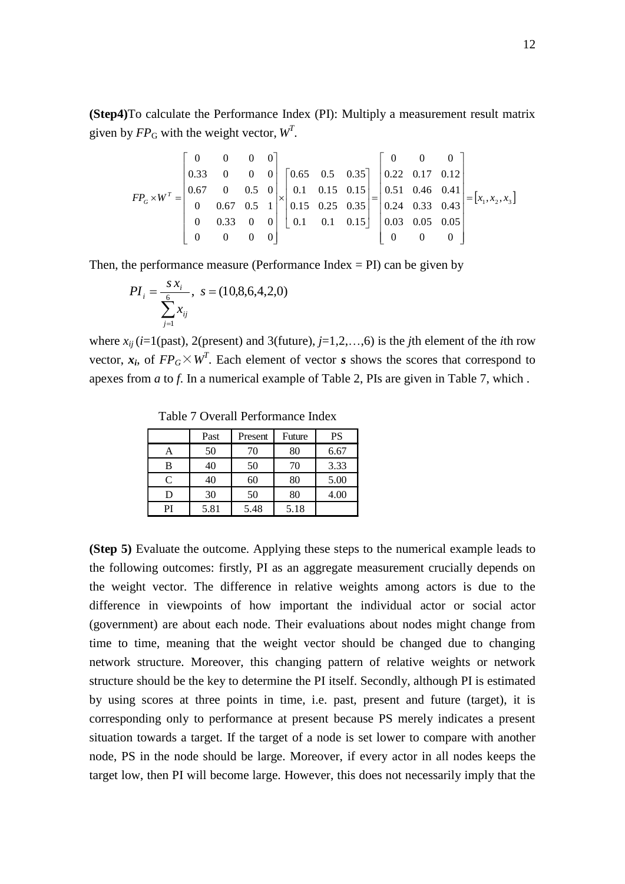**(Step4)**To calculate the Performance Index (PI): Multiply a measurement result matrix

given by 
$$
FP_G
$$
 with the weight vector,  $W^T$ .  
\n
$$
FP_G \times W^T = \begin{bmatrix}\n0 & 0 & 0 & 0 \\
0.33 & 0 & 0 & 0 \\
0.67 & 0 & 0.5 & 0 \\
0 & 0.67 & 0.5 & 1 \\
0 & 0.33 & 0 & 0 \\
0 & 0 & 0 & 0\n\end{bmatrix} \times \begin{bmatrix}\n0.65 & 0.5 & 0.35 \\
0.1 & 0.15 & 0.15 \\
0.15 & 0.25 & 0.35 \\
0.1 & 0.1 & 0.15\n\end{bmatrix} = \begin{bmatrix}\n0 & 0 & 0 \\
0.22 & 0.17 & 0.12 \\
0.51 & 0.46 & 0.41 \\
0.24 & 0.33 & 0.43 \\
0.03 & 0.05 & 0.05 \\
0 & 0 & 0\n\end{bmatrix} = [x_1, x_2, x_3]
$$

Then, the performance measure (Performance Index  $=$  PI) can be given by

$$
PI_{i} = \frac{s x_{i}}{\sum_{j=1}^{6} x_{ij}}, \ s = (10,8,6,4,2,0)
$$

where  $x_{ii}$  ( $i=1$ (past), 2(present) and 3(future),  $j=1,2,...,6$ ) is the *j*th element of the *i*th row vector,  $x_i$ , of  $FP_G \times W^T$ . Each element of vector *s* shows the scores that correspond to apexes from *a* to *f*. In a numerical example of Table 2, PIs are given in Table 7, which .

Past Present Future PS A 50 70 80 6.67 B 40 50 70 3.33

 $C$  40 60 80 5.00 D 30 50 80 4.00

PI 5.81 5.48 5.18

Table 7 Overall Performance Index

**(Step 5)** Evaluate the outcome. Applying these steps to the numerical example leads to the following outcomes: firstly, PI as an aggregate measurement crucially depends on the weight vector. The difference in relative weights among actors is due to the difference in viewpoints of how important the individual actor or social actor (government) are about each node. Their evaluations about nodes might change from time to time, meaning that the weight vector should be changed due to changing network structure. Moreover, this changing pattern of relative weights or network structure should be the key to determine the PI itself. Secondly, although PI is estimated by using scores at three points in time, i.e. past, present and future (target), it is corresponding only to performance at present because PS merely indicates a present situation towards a target. If the target of a node is set lower to compare with another node, PS in the node should be large. Moreover, if every actor in all nodes keeps the target low, then PI will become large. However, this does not necessarily imply that the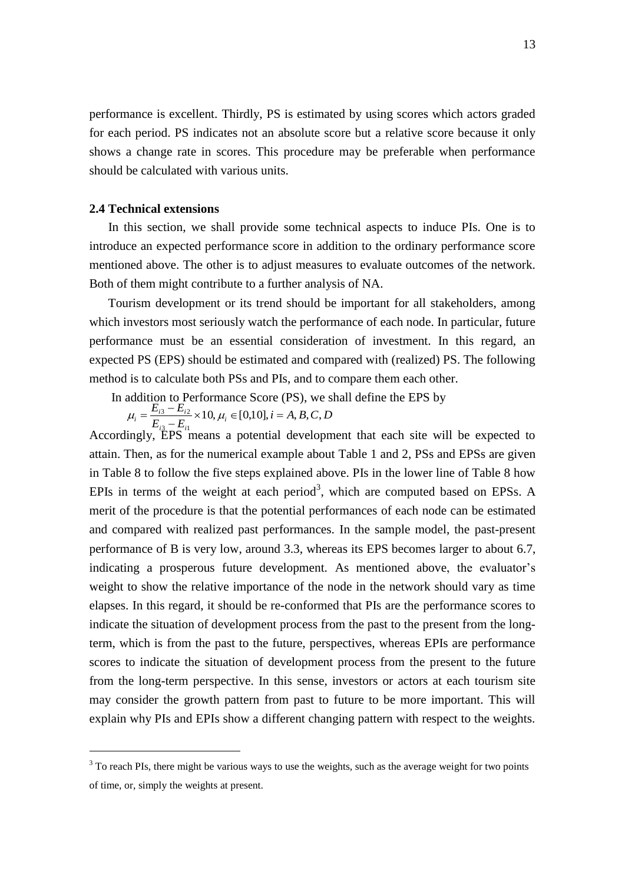performance is excellent. Thirdly, PS is estimated by using scores which actors graded for each period. PS indicates not an absolute score but a relative score because it only shows a change rate in scores. This procedure may be preferable when performance should be calculated with various units.

## **2.4 Technical extensions**

1

 In this section, we shall provide some technical aspects to induce PIs. One is to introduce an expected performance score in addition to the ordinary performance score mentioned above. The other is to adjust measures to evaluate outcomes of the network. Both of them might contribute to a further analysis of NA.

 Tourism development or its trend should be important for all stakeholders, among which investors most seriously watch the performance of each node. In particular, future performance must be an essential consideration of investment. In this regard, an expected PS (EPS) should be estimated and compared with (realized) PS. The following method is to calculate both PSs and PIs, and to compare them each other.

In addition to Performance Score (PS), we shall define the EPS by

 $i = A, B, C, D$  $E_{i3} - E$  $E_{i3} - E_{i}$  $a_i = \frac{E_{i3} - E_{i2}}{E_{i2}} \times 10, \mu_i \in [0,10], i = A, B, C,$  $\overline{\phantom{0}}$  $\mu_i = \frac{E_{i3} - E_{i2}}{E} \times 10, \mu_i$ 

Accordingly, EPS means a potential development that each site will be expected to attain. Then, as for the numerical example about Table 1 and 2, PSs and EPSs are given in Table 8 to follow the five steps explained above. PIs in the lower line of Table 8 how EPIs in terms of the weight at each period<sup>3</sup>, which are computed based on EPSs. A merit of the procedure is that the potential performances of each node can be estimated and compared with realized past performances. In the sample model, the past-present performance of B is very low, around 3.3, whereas its EPS becomes larger to about 6.7, indicating a prosperous future development. As mentioned above, the evaluator's weight to show the relative importance of the node in the network should vary as time elapses. In this regard, it should be re-conformed that PIs are the performance scores to indicate the situation of development process from the past to the present from the longterm, which is from the past to the future, perspectives, whereas EPIs are performance scores to indicate the situation of development process from the present to the future from the long-term perspective. In this sense, investors or actors at each tourism site may consider the growth pattern from past to future to be more important. This will explain why PIs and EPIs show a different changing pattern with respect to the weights.

 $3$  To reach PIs, there might be various ways to use the weights, such as the average weight for two points of time, or, simply the weights at present.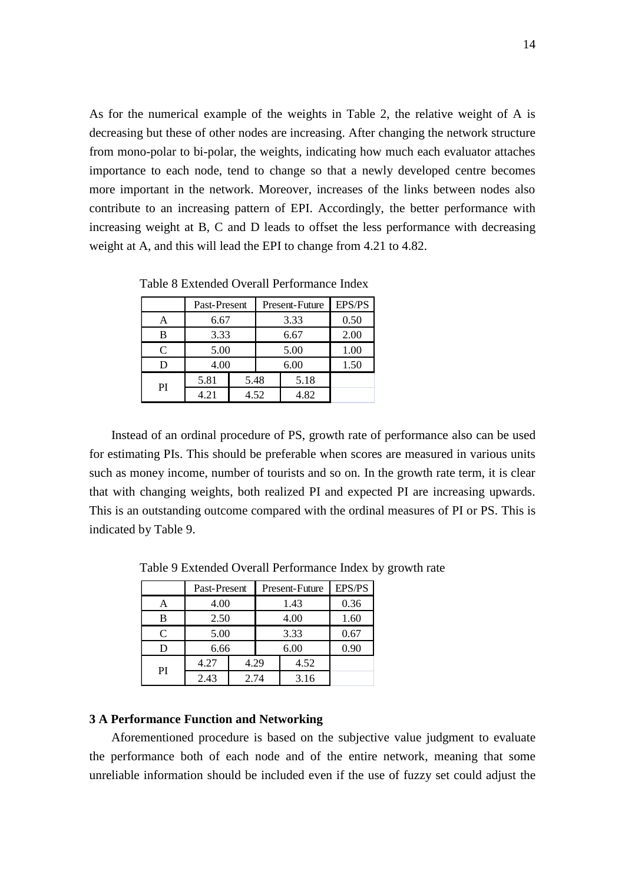As for the numerical example of the weights in Table 2, the relative weight of A is decreasing but these of other nodes are increasing. After changing the network structure from mono-polar to bi-polar, the weights, indicating how much each evaluator attaches importance to each node, tend to change so that a newly developed centre becomes more important in the network. Moreover, increases of the links between nodes also contribute to an increasing pattern of EPI. Accordingly, the better performance with increasing weight at B, C and D leads to offset the less performance with decreasing weight at A, and this will lead the EPI to change from 4.21 to 4.82.

|                             | Past-Present |      | <b>Present-Future</b> | <b>EPS/PS</b> |
|-----------------------------|--------------|------|-----------------------|---------------|
| A                           | 6.67         |      | 3.33                  | 0.50          |
| R                           | 3.33         |      | 6.67                  | 2.00          |
| $\mathcal{C}_{\mathcal{C}}$ | 5.00         |      | 5.00                  | 1.00          |
| D                           | 4.00         |      | 6.00                  | 1.50          |
| PI                          | 5.81<br>5.48 |      | 5.18                  |               |
|                             | 4.21         | 4.52 | 4.82                  |               |

Table 8 Extended Overall Performance Index

 Instead of an ordinal procedure of PS, growth rate of performance also can be used for estimating PIs. This should be preferable when scores are measured in various units such as money income, number of tourists and so on. In the growth rate term, it is clear that with changing weights, both realized PI and expected PI are increasing upwards. This is an outstanding outcome compared with the ordinal measures of PI or PS. This is indicated by Table 9.

|    | Past-Present |      | Present-Future | EPS/PS |
|----|--------------|------|----------------|--------|
|    | 4.00         |      | 1.43           | 0.36   |
| В  | 2.50         |      | 4.00           | 1.60   |
| C  | 5.00         |      | 3.33           | 0.67   |
|    | 6.66         |      | 6.00           | 0.90   |
|    | 4.27         | 4.29 | 4.52           |        |
| PI | 2.43         | 2.74 | 3.16           |        |

Table 9 Extended Overall Performance Index by growth rate

## **3 A Performance Function and Networking**

Aforementioned procedure is based on the subjective value judgment to evaluate the performance both of each node and of the entire network, meaning that some unreliable information should be included even if the use of fuzzy set could adjust the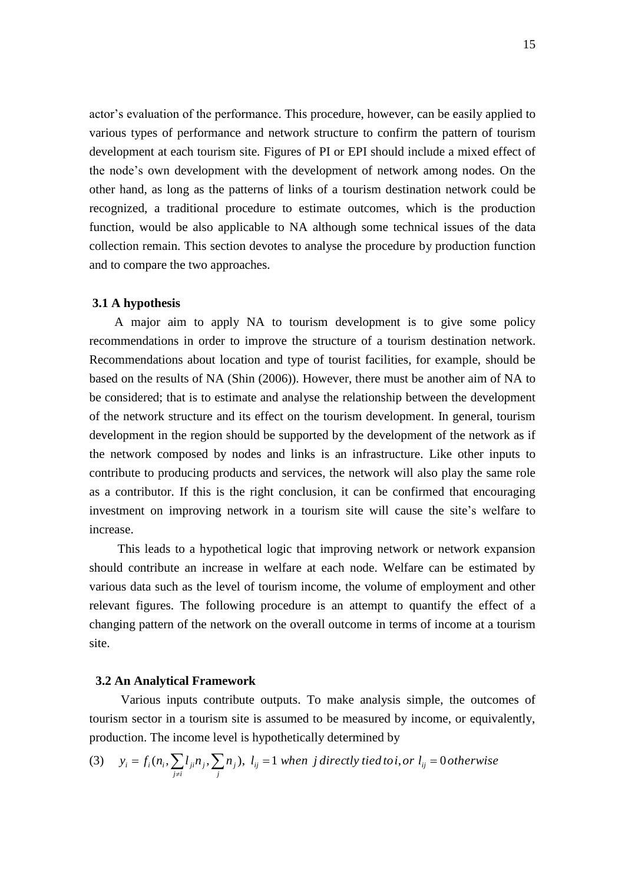actor"s evaluation of the performance. This procedure, however, can be easily applied to various types of performance and network structure to confirm the pattern of tourism development at each tourism site. Figures of PI or EPI should include a mixed effect of the node"s own development with the development of network among nodes. On the other hand, as long as the patterns of links of a tourism destination network could be recognized, a traditional procedure to estimate outcomes, which is the production function, would be also applicable to NA although some technical issues of the data collection remain. This section devotes to analyse the procedure by production function and to compare the two approaches.

#### **3.1 A hypothesis**

 A major aim to apply NA to tourism development is to give some policy recommendations in order to improve the structure of a tourism destination network. Recommendations about location and type of tourist facilities, for example, should be based on the results of NA (Shin (2006)). However, there must be another aim of NA to be considered; that is to estimate and analyse the relationship between the development of the network structure and its effect on the tourism development. In general, tourism development in the region should be supported by the development of the network as if the network composed by nodes and links is an infrastructure. Like other inputs to contribute to producing products and services, the network will also play the same role as a contributor. If this is the right conclusion, it can be confirmed that encouraging investment on improving network in a tourism site will cause the site's welfare to increase.

 This leads to a hypothetical logic that improving network or network expansion should contribute an increase in welfare at each node. Welfare can be estimated by various data such as the level of tourism income, the volume of employment and other relevant figures. The following procedure is an attempt to quantify the effect of a changing pattern of the network on the overall outcome in terms of income at a tourism site.

#### **3.2 An Analytical Framework**

 Various inputs contribute outputs. To make analysis simple, the outcomes of tourism sector in a tourism site is assumed to be measured by income, or equivalently,<br>production. The income level is hypothetically determined by<br>(3)  $y_i = f_i(n_i, \sum_{j \neq i} l_{ji}n_j, \sum_j n_j)$ ,  $l_{ij} = 1$  *when j directly tied to* 

production. The income level is hypothetically determined by  
\n(3) 
$$
y_i = f_i(n_i, \sum_{j \neq i} l_{ji} n_j, \sum_j n_j), l_{ij} = 1 when j directly tied to i, or l_{ij} = 0 otherwise
$$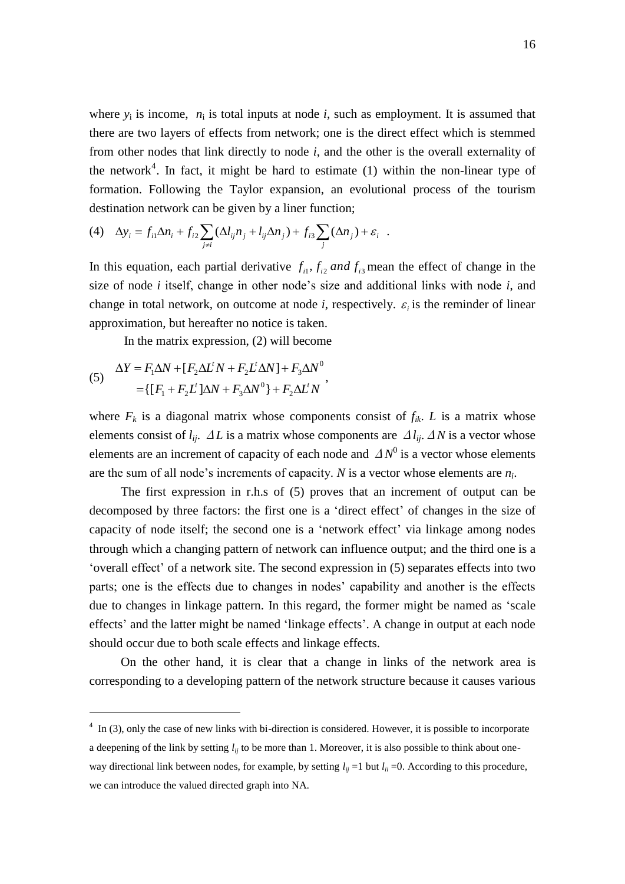where  $y_i$  is income,  $n_i$  is total inputs at node *i*, such as employment. It is assumed that there are two layers of effects from network; one is the direct effect which is stemmed from other nodes that link directly to node *i*, and the other is the overall externality of the network<sup>4</sup>. In fact, it might be hard to estimate (1) within the non-linear type of formation. Following the Taylor expansion, an evolutional process of the tourism destination network can be given by a liner function;

(4) 
$$
\Delta y_i = f_{i1} \Delta n_i + f_{i2} \sum_{j \neq i} (\Delta l_{ij} n_j + l_{ij} \Delta n_j) + f_{i3} \sum_j (\Delta n_j) + \varepsilon_i.
$$

In this equation, each partial derivative  $f_{i1}$ ,  $f_{i2}$  and  $f_{i3}$  mean the effect of change in the size of node *i* itself, change in other node"s size and additional links with node *i*, and change in total network, on outcome at node *i*, respectively.  $\varepsilon_i$  is the reminder of linear approximation, but hereafter no notice is taken.

In the matrix expression, (2) will become

(5) 
$$
\Delta Y = F_1 \Delta N + [F_2 \Delta L' N + F_2 L' \Delta N] + F_3 \Delta N^0
$$

$$
= \{ [F_1 + F_2 L' ] \Delta N + F_3 \Delta N^0 \} + F_2 \Delta L' N'
$$

1

where  $F_k$  is a diagonal matrix whose components consist of  $f_{ik}$ . *L* is a matrix whose elements consist of  $l_{ij}$ .  $\Delta L$  is a matrix whose components are  $\Delta l_{ij}$ .  $\Delta N$  is a vector whose elements are an increment of capacity of each node and  $\Delta N^0$  is a vector whose elements are the sum of all node"s increments of capacity. *N* is a vector whose elements are *n<sup>i</sup>* .

 The first expression in r.h.s of (5) proves that an increment of output can be decomposed by three factors: the first one is a "direct effect" of changes in the size of capacity of node itself; the second one is a "network effect" via linkage among nodes through which a changing pattern of network can influence output; and the third one is a "overall effect" of a network site. The second expression in (5) separates effects into two parts; one is the effects due to changes in nodes' capability and another is the effects due to changes in linkage pattern. In this regard, the former might be named as "scale effects' and the latter might be named 'linkage effects'. A change in output at each node should occur due to both scale effects and linkage effects.

 On the other hand, it is clear that a change in links of the network area is corresponding to a developing pattern of the network structure because it causes various

 $4 \text{ In } (3)$ , only the case of new links with bi-direction is considered. However, it is possible to incorporate a deepening of the link by setting  $l_{ij}$  to be more than 1. Moreover, it is also possible to think about oneway directional link between nodes, for example, by setting  $l_{ii} = 1$  but  $l_{ii} = 0$ . According to this procedure, we can introduce the valued directed graph into NA.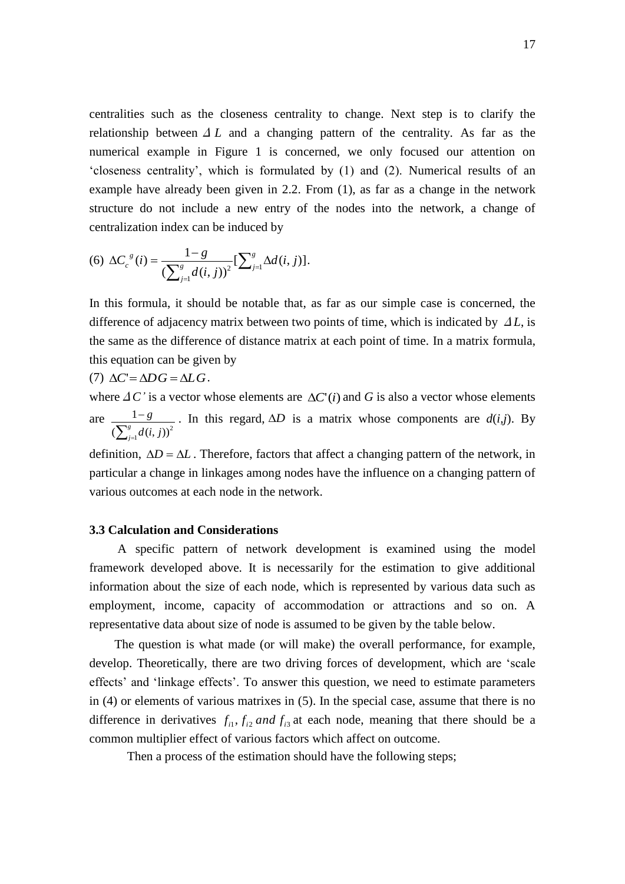centralities such as the closeness centrality to change. Next step is to clarify the relationship between  $\Delta L$  and a changing pattern of the centrality. As far as the numerical example in Figure 1 is concerned, we only focused our attention on "closeness centrality", which is formulated by (1) and (2). Numerical results of an example have already been given in 2.2. From (1), as far as a change in the network structure do not include a new entry of the nodes into the network, a change of centralization index can be induced by

(6) 
$$
\Delta C_c^{g}(i) = \frac{1-g}{\left(\sum_{j=1}^g d(i,j)\right)^2} \left[\sum_{j=1}^g \Delta d(i,j)\right].
$$

In this formula, it should be notable that, as far as our simple case is concerned, the difference of adjacency matrix between two points of time, which is indicated by Δ*L*, is the same as the difference of distance matrix at each point of time. In a matrix formula, this equation can be given by

(7) 
$$
\Delta C = \Delta DG = \Delta LG
$$
.

where  $\Delta C'$  is a vector whose elements are  $\Delta C'(i)$  and G is also a vector whose elements are  $\sum_{j=}^g$  $\overline{a}$ *g*  $\int_{j=1}^g d(i, j)$ *g* 1  $(\sum_{i=1}^{g} d(i, j))^2$  $\frac{1-g}{1-g}$ . In this regard,  $\Delta D$  is a matrix whose components are  $d(i,j)$ . By

definition,  $\Delta D = \Delta L$ . Therefore, factors that affect a changing pattern of the network, in particular a change in linkages among nodes have the influence on a changing pattern of various outcomes at each node in the network.

## **3.3 Calculation and Considerations**

 A specific pattern of network development is examined using the model framework developed above. It is necessarily for the estimation to give additional information about the size of each node, which is represented by various data such as employment, income, capacity of accommodation or attractions and so on. A representative data about size of node is assumed to be given by the table below.

 The question is what made (or will make) the overall performance, for example, develop. Theoretically, there are two driving forces of development, which are "scale effects' and 'linkage effects'. To answer this question, we need to estimate parameters in (4) or elements of various matrixes in (5). In the special case, assume that there is no difference in derivatives  $f_{i1}$ ,  $f_{i2}$  *and*  $f_{i3}$  at each node, meaning that there should be a common multiplier effect of various factors which affect on outcome.

Then a process of the estimation should have the following steps;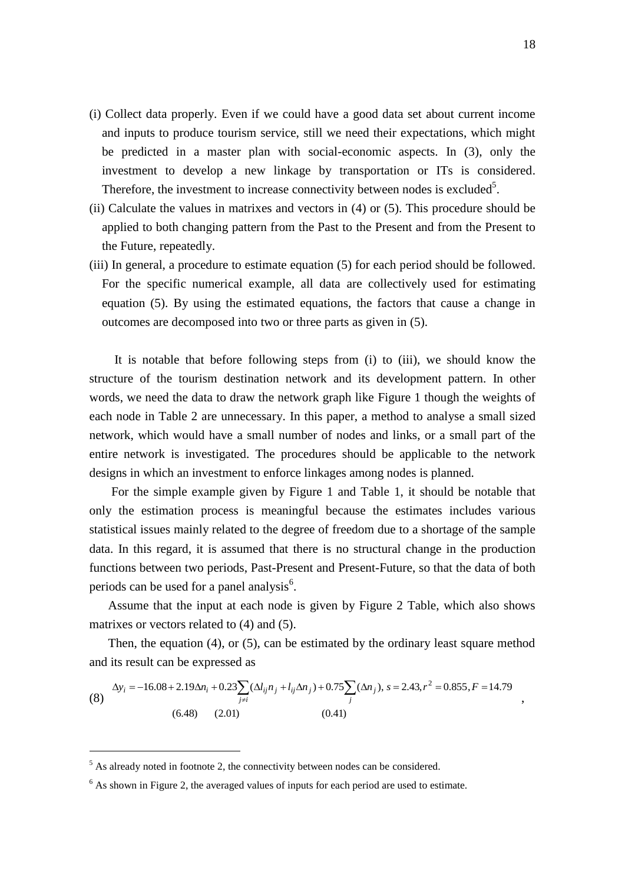- (i) Collect data properly. Even if we could have a good data set about current income and inputs to produce tourism service, still we need their expectations, which might be predicted in a master plan with social-economic aspects. In (3), only the investment to develop a new linkage by transportation or ITs is considered. Therefore, the investment to increase connectivity between nodes is excluded<sup>5</sup>.
- (ii) Calculate the values in matrixes and vectors in (4) or (5). This procedure should be applied to both changing pattern from the Past to the Present and from the Present to the Future, repeatedly.
- (iii) In general, a procedure to estimate equation (5) for each period should be followed. For the specific numerical example, all data are collectively used for estimating equation (5). By using the estimated equations, the factors that cause a change in outcomes are decomposed into two or three parts as given in (5).

It is notable that before following steps from (i) to (iii), we should know the structure of the tourism destination network and its development pattern. In other words, we need the data to draw the network graph like Figure 1 though the weights of each node in Table 2 are unnecessary. In this paper, a method to analyse a small sized network, which would have a small number of nodes and links, or a small part of the entire network is investigated. The procedures should be applicable to the network designs in which an investment to enforce linkages among nodes is planned.

 For the simple example given by Figure 1 and Table 1, it should be notable that only the estimation process is meaningful because the estimates includes various statistical issues mainly related to the degree of freedom due to a shortage of the sample data. In this regard, it is assumed that there is no structural change in the production functions between two periods, Past-Present and Present-Future, so that the data of both periods can be used for a panel analysis<sup>6</sup>.

 Assume that the input at each node is given by Figure 2 Table, which also shows matrixes or vectors related to (4) and (5).

 Then, the equation (4), or (5), can be estimated by the ordinary least square method and its result can be expressed as

$$
\Delta y_i = -16.08 + 2.19 \Delta n_i + 0.23 \sum_{j \neq i} (\Delta l_{ij} n_j + l_{ij} \Delta n_j) + 0.75 \sum_j (\Delta n_j), s = 2.43, r^2 = 0.855, F = 14.79
$$
\n
$$
(6.48) \quad (2.01) \quad (0.41)
$$

1

,

 $<sup>5</sup>$  As already noted in footnote 2, the connectivity between nodes can be considered.</sup>

<sup>&</sup>lt;sup>6</sup> As shown in Figure 2, the averaged values of inputs for each period are used to estimate.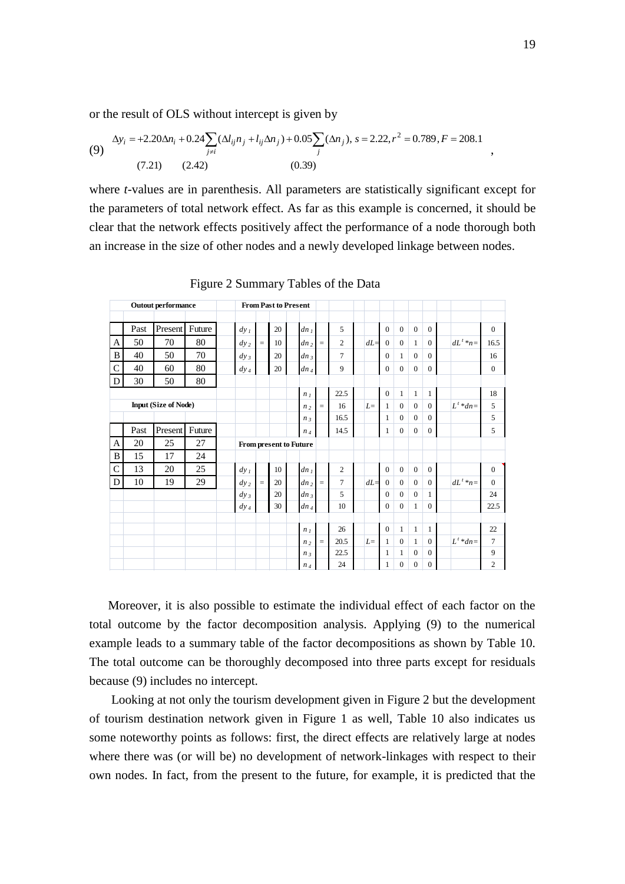or the result of OLS without intercept is given by

(9) 
$$
\Delta y_i = +2.20 \Delta n_i + 0.24 \sum_{j \neq i} (\Delta l_{ij} n_j + l_{ij} \Delta n_j) + 0.05 \sum_j (\Delta n_j), s = 2.22, r^2 = 0.789, F = 208.1
$$

$$
(7.21) \qquad (2.42) \qquad (0.39)
$$

where *t*-values are in parenthesis. All parameters are statistically significant except for the parameters of total network effect. As far as this example is concerned, it should be clear that the network effects positively affect the performance of a node thorough both an increase in the size of other nodes and a newly developed linkage between nodes.

|                |      | <b>Outout performance</b>   |        |                        |          |    | <b>From Past to Present</b> |                 |                |       |                |              |              |                |              |              |
|----------------|------|-----------------------------|--------|------------------------|----------|----|-----------------------------|-----------------|----------------|-------|----------------|--------------|--------------|----------------|--------------|--------------|
|                | Past | Present Future              |        | $dy_1$                 |          | 20 | dn <sub>1</sub>             |                 | 5              |       | $\overline{0}$ | $\mathbf{0}$ | $\mathbf{0}$ | $\overline{0}$ |              | $\mathbf{0}$ |
| A              | 50   | 70                          | 80     | $dy_2$                 | $\equiv$ | 10 | dn <sub>2</sub>             | $\equiv$        | $\overline{c}$ | $dL=$ | $\mathbf{0}$   | $\Omega$     | $\mathbf{1}$ | $\theta$       | $dL^t * n =$ | 16.5         |
| B              | 40   | 50                          | 70     | $dy_3$                 |          | 20 | $dn_3$                      |                 | $\overline{7}$ |       | $\overline{0}$ | $\mathbf{1}$ | $\mathbf{0}$ | $\overline{0}$ |              | 16           |
| $\overline{C}$ | 40   | 60                          | 80     | $dy_4$                 |          | 20 | $dn_4$                      |                 | 9              |       | $\Omega$       | $\Omega$     | $\Omega$     | $\theta$       |              | $\Omega$     |
| D              | 30   | 50                          | 80     |                        |          |    |                             |                 |                |       |                |              |              |                |              |              |
|                |      |                             |        |                        |          |    | n <sub>1</sub>              |                 | 22.5           |       | $\mathbf{0}$   | $\mathbf{1}$ | $\mathbf{1}$ | $\mathbf{1}$   |              | 18           |
|                |      | <b>Input (Size of Node)</b> |        |                        |          |    | $n_{2}$                     | $\quad \  \  =$ | 16             | $L=$  | $\mathbf{1}$   | $\Omega$     | $\Omega$     | $\Omega$       | $L^t * dn =$ | 5            |
|                |      |                             |        |                        |          |    | $n_3$                       |                 | 16.5           |       | 1              | $\Omega$     | $\Omega$     | $\theta$       |              | 5            |
|                | Past | Present                     | Future |                        |          |    | $n_4$                       |                 | 14.5           |       | $\mathbf{1}$   | $\mathbf{0}$ | $\mathbf{0}$ | $\overline{0}$ |              | 5            |
| $\mathbf{A}$   | 20   | 25                          | 27     | From present to Future |          |    |                             |                 |                |       |                |              |              |                |              |              |
| B              | 15   | 17                          | 24     |                        |          |    |                             |                 |                |       |                |              |              |                |              |              |
| $\overline{C}$ | 13   | 20                          | 25     | $dy_1$                 |          | 10 | dn <sub>l</sub>             |                 | $\overline{c}$ |       | $\mathbf{0}$   | $\mathbf{0}$ | $\mathbf{0}$ | $\overline{0}$ |              | $\mathbf{0}$ |
| D              | 10   | 19                          | 29     | $dy_2$                 | $\equiv$ | 20 | dn <sub>2</sub>             | $\equiv$        | $\tau$         | $dL=$ | $\mathbf{0}$   | $\mathbf{0}$ | $\mathbf{0}$ | $\overline{0}$ | $dL^t * n =$ | $\Omega$     |
|                |      |                             |        | $dy_3$                 |          | 20 | $dn_3$                      |                 | 5              |       | $\overline{0}$ | $\Omega$     | $\mathbf{0}$ | $\mathbf{1}$   |              | 24           |
|                |      |                             |        | $dy_4$                 |          | 30 | $dn_4$                      |                 | 10             |       | $\Omega$       | $\Omega$     | $\mathbf{1}$ | $\theta$       |              | 22.5         |
|                |      |                             |        |                        |          |    |                             |                 |                |       |                |              |              |                |              |              |
|                |      |                             |        |                        |          |    | n <sub>1</sub>              |                 | 26             |       | $\overline{0}$ | $\mathbf{1}$ | $\mathbf{1}$ | $\mathbf{1}$   |              | 22           |
|                |      |                             |        |                        |          |    | n <sub>2</sub>              | $\equiv$        | 20.5           | $L=$  | $\mathbf{1}$   | $\Omega$     | $\mathbf{1}$ | $\overline{0}$ | $L^t * dn =$ | 7            |
|                |      |                             |        |                        |          |    | $n_3$                       |                 | 22.5           |       | 1              | 1            | $\mathbf{0}$ | $\theta$       |              | 9            |
|                |      |                             |        |                        |          |    | $n_4$                       |                 | 24             |       | 1              | $\mathbf{0}$ | $\mathbf{0}$ | $\mathbf{0}$   |              | $\mathbf{2}$ |

Figure 2 Summary Tables of the Data

 Moreover, it is also possible to estimate the individual effect of each factor on the total outcome by the factor decomposition analysis. Applying (9) to the numerical example leads to a summary table of the factor decompositions as shown by Table 10. The total outcome can be thoroughly decomposed into three parts except for residuals because (9) includes no intercept.

 Looking at not only the tourism development given in Figure 2 but the development of tourism destination network given in Figure 1 as well, Table 10 also indicates us some noteworthy points as follows: first, the direct effects are relatively large at nodes where there was (or will be) no development of network-linkages with respect to their own nodes. In fact, from the present to the future, for example, it is predicted that the

,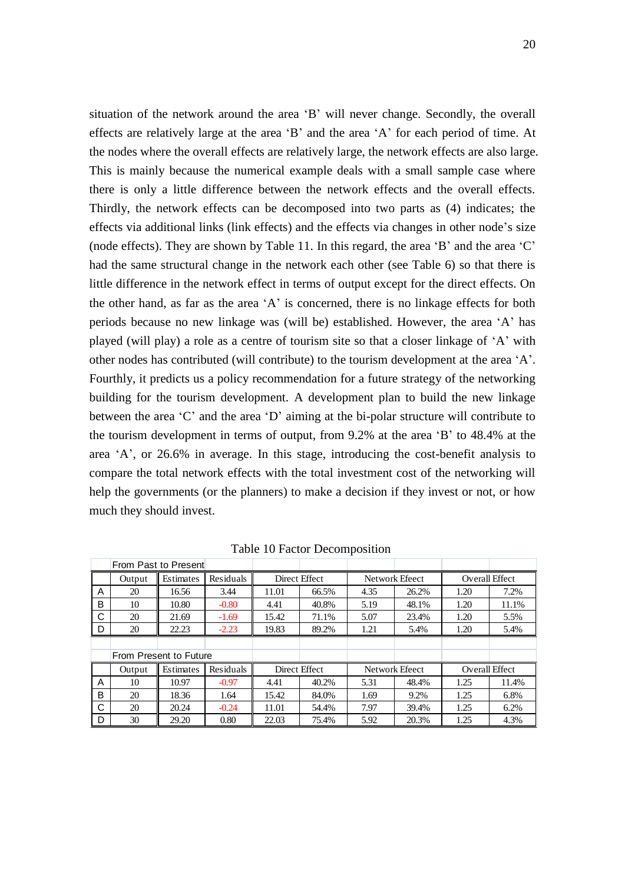situation of the network around the area "B" will never change. Secondly, the overall effects are relatively large at the area "B" and the area "A" for each period of time. At the nodes where the overall effects are relatively large, the network effects are also large. This is mainly because the numerical example deals with a small sample case where there is only a little difference between the network effects and the overall effects. Thirdly, the network effects can be decomposed into two parts as (4) indicates; the effects via additional links (link effects) and the effects via changes in other node"s size (node effects). They are shown by Table 11. In this regard, the area "B" and the area "C" had the same structural change in the network each other (see Table 6) so that there is little difference in the network effect in terms of output except for the direct effects. On the other hand, as far as the area "A" is concerned, there is no linkage effects for both periods because no new linkage was (will be) established. However, the area "A" has played (will play) a role as a centre of tourism site so that a closer linkage of "A" with other nodes has contributed (will contribute) to the tourism development at the area "A". Fourthly, it predicts us a policy recommendation for a future strategy of the networking building for the tourism development. A development plan to build the new linkage between the area "C" and the area "D" aiming at the bi-polar structure will contribute to the tourism development in terms of output, from 9.2% at the area "B" to 48.4% at the area "A", or 26.6% in average. In this stage, introducing the cost-benefit analysis to compare the total network effects with the total investment cost of the networking will help the governments (or the planners) to make a decision if they invest or not, or how much they should invest.

|   |                        | From Past to Present |           |               |               |                |                |                       |       |  |
|---|------------------------|----------------------|-----------|---------------|---------------|----------------|----------------|-----------------------|-------|--|
|   | Output                 | Estimates            | Residuals | Direct Effect |               |                | Network Efeect | <b>Overall Effect</b> |       |  |
| A | 20                     | 16.56                | 3.44      | 11.01         | 66.5%         | 4.35           | 26.2%          | 1.20                  | 7.2%  |  |
| в | 10                     | 10.80                | $-0.80$   | 4.41          | 40.8%         | 5.19           | 48.1%          | 1.20                  | 11.1% |  |
| С | 20                     | 21.69                | $-1.69$   | 15.42         | 71.1%         | 5.07           | 23.4%          | 1.20                  | 5.5%  |  |
| D | 20                     | 22.23                | $-2.23$   | 19.83         | 89.2%         | 1.21           | 5.4%           | 1.20                  | 5.4%  |  |
|   |                        |                      |           |               |               |                |                |                       |       |  |
|   | From Present to Future |                      |           |               |               |                |                |                       |       |  |
|   | Output                 | Estimates            | Residuals |               | Direct Effect | Network Efeect |                | Overall Effect        |       |  |
| Α | 10                     | 10.97                | $-0.97$   | 4.41          | 40.2%         | 5.31           | 48.4%          | 1.25                  | 11.4% |  |
| B | 20                     | 18.36                | 1.64      | 15.42         | 84.0%         | 1.69           | 9.2%           | 1.25                  | 6.8%  |  |
| С | 20                     | 20.24                | $-0.24$   | 11.01         | 54.4%         | 7.97           | 39.4%          | 1.25                  | 6.2%  |  |
| D | 30                     | 29.20                | 0.80      | 22.03         | 75.4%         | 5.92           | 20.3%          | 1.25                  | 4.3%  |  |

Table 10 Factor Decomposition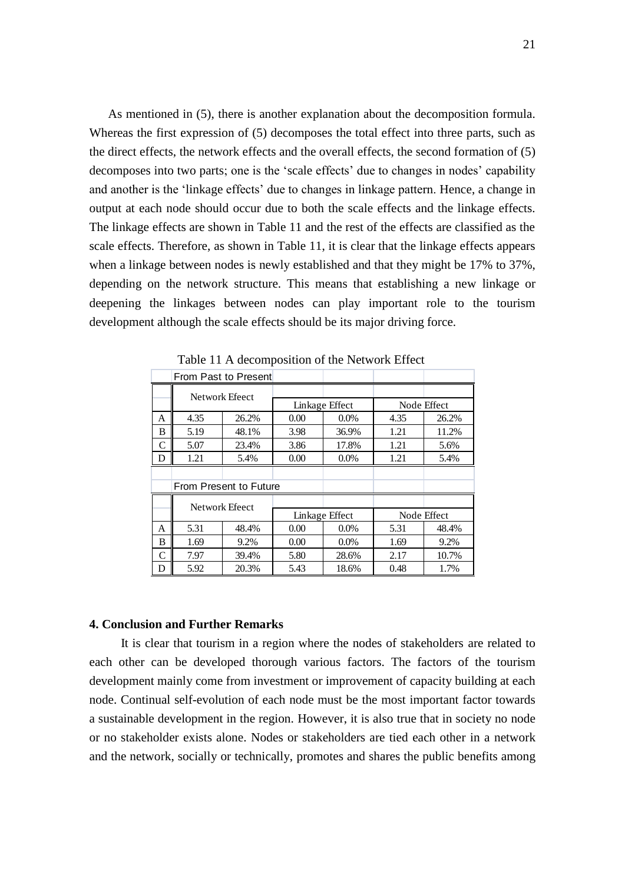As mentioned in (5), there is another explanation about the decomposition formula. Whereas the first expression of (5) decomposes the total effect into three parts, such as the direct effects, the network effects and the overall effects, the second formation of (5) decomposes into two parts; one is the 'scale effects' due to changes in nodes' capability and another is the "linkage effects" due to changes in linkage pattern. Hence, a change in output at each node should occur due to both the scale effects and the linkage effects. The linkage effects are shown in Table 11 and the rest of the effects are classified as the scale effects. Therefore, as shown in Table 11, it is clear that the linkage effects appears when a linkage between nodes is newly established and that they might be 17% to 37%, depending on the network structure. This means that establishing a new linkage or deepening the linkages between nodes can play important role to the tourism development although the scale effects should be its major driving force.

|               |                | From Past to Present   |                |                |             |       |  |
|---------------|----------------|------------------------|----------------|----------------|-------------|-------|--|
|               |                | Network Efeect         |                |                |             |       |  |
|               |                |                        |                | Linkage Effect | Node Effect |       |  |
| А             | 4.35           | 26.2%                  | 0.00           | 0.0%           | 4.35        | 26.2% |  |
| B             | 5.19           | 48.1%                  | 3.98           | 36.9%          | 1.21        | 11.2% |  |
| C             | 5.07           | 23.4%                  | 3.86           | 17.8%          | 1.21        | 5.6%  |  |
| D             | 1.21           | 5.4%                   | 0.00           | 0.0%           | 1.21        | 5.4%  |  |
|               |                |                        |                |                |             |       |  |
|               |                | From Present to Future |                |                |             |       |  |
|               |                |                        |                |                |             |       |  |
|               | Network Efeect |                        | Linkage Effect |                | Node Effect |       |  |
| А             | 5.31           | 48.4%                  | 0.00           | 0.0%           | 5.31        | 48.4% |  |
| B             | 1.69           | 9.2%                   | 0.00           | $0.0\%$        | 1.69        | 9.2%  |  |
|               |                |                        |                |                |             |       |  |
| $\mathcal{C}$ | 7.97           | 39.4%                  | 5.80           | 28.6%          | 2.17        | 10.7% |  |

Table 11 A decomposition of the Network Effect

#### **4. Conclusion and Further Remarks**

 It is clear that tourism in a region where the nodes of stakeholders are related to each other can be developed thorough various factors. The factors of the tourism development mainly come from investment or improvement of capacity building at each node. Continual self-evolution of each node must be the most important factor towards a sustainable development in the region. However, it is also true that in society no node or no stakeholder exists alone. Nodes or stakeholders are tied each other in a network and the network, socially or technically, promotes and shares the public benefits among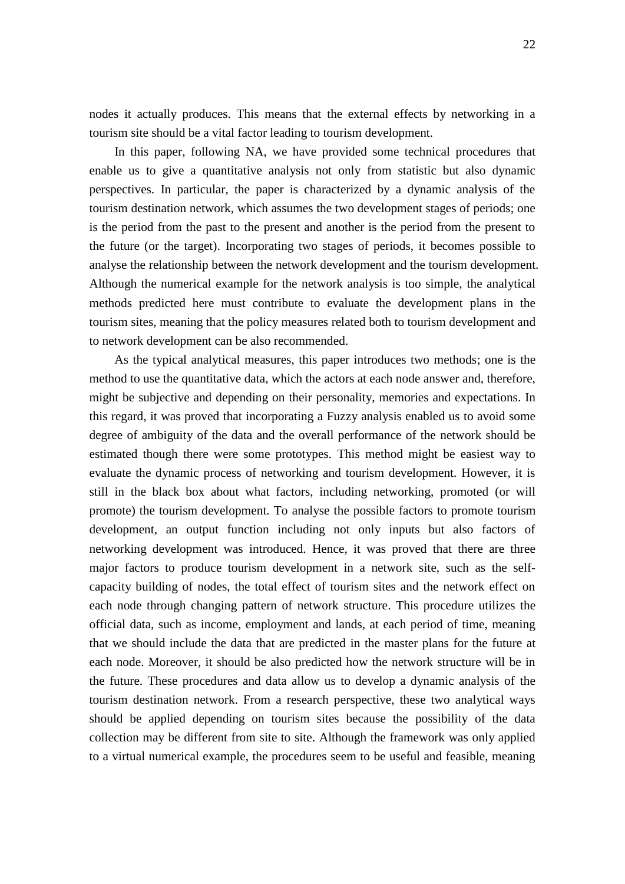nodes it actually produces. This means that the external effects by networking in a tourism site should be a vital factor leading to tourism development.

 In this paper, following NA, we have provided some technical procedures that enable us to give a quantitative analysis not only from statistic but also dynamic perspectives. In particular, the paper is characterized by a dynamic analysis of the tourism destination network, which assumes the two development stages of periods; one is the period from the past to the present and another is the period from the present to the future (or the target). Incorporating two stages of periods, it becomes possible to analyse the relationship between the network development and the tourism development. Although the numerical example for the network analysis is too simple, the analytical methods predicted here must contribute to evaluate the development plans in the tourism sites, meaning that the policy measures related both to tourism development and to network development can be also recommended.

 As the typical analytical measures, this paper introduces two methods; one is the method to use the quantitative data, which the actors at each node answer and, therefore, might be subjective and depending on their personality, memories and expectations. In this regard, it was proved that incorporating a Fuzzy analysis enabled us to avoid some degree of ambiguity of the data and the overall performance of the network should be estimated though there were some prototypes. This method might be easiest way to evaluate the dynamic process of networking and tourism development. However, it is still in the black box about what factors, including networking, promoted (or will promote) the tourism development. To analyse the possible factors to promote tourism development, an output function including not only inputs but also factors of networking development was introduced. Hence, it was proved that there are three major factors to produce tourism development in a network site, such as the selfcapacity building of nodes, the total effect of tourism sites and the network effect on each node through changing pattern of network structure. This procedure utilizes the official data, such as income, employment and lands, at each period of time, meaning that we should include the data that are predicted in the master plans for the future at each node. Moreover, it should be also predicted how the network structure will be in the future. These procedures and data allow us to develop a dynamic analysis of the tourism destination network. From a research perspective, these two analytical ways should be applied depending on tourism sites because the possibility of the data collection may be different from site to site. Although the framework was only applied to a virtual numerical example, the procedures seem to be useful and feasible, meaning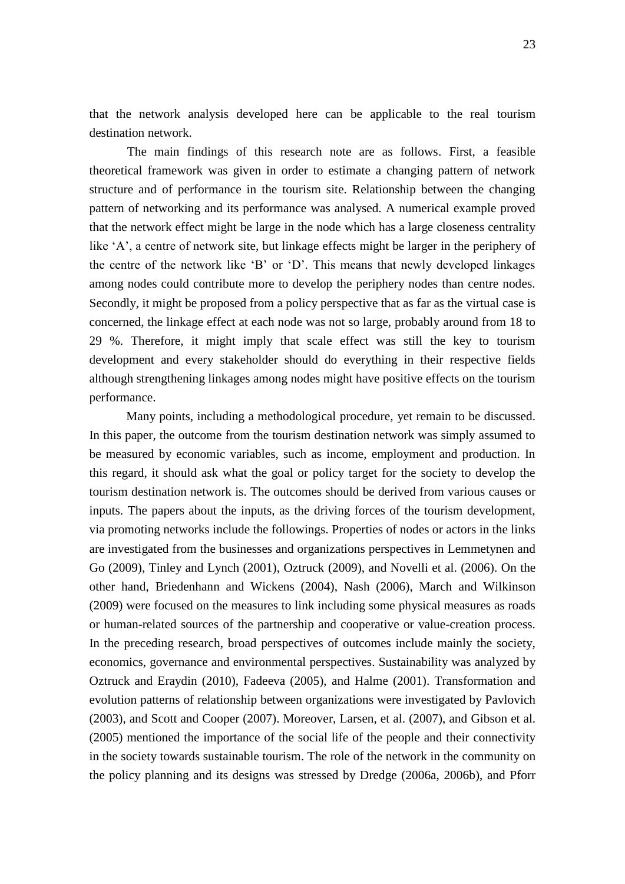that the network analysis developed here can be applicable to the real tourism destination network.

The main findings of this research note are as follows. First, a feasible theoretical framework was given in order to estimate a changing pattern of network structure and of performance in the tourism site. Relationship between the changing pattern of networking and its performance was analysed. A numerical example proved that the network effect might be large in the node which has a large closeness centrality like 'A', a centre of network site, but linkage effects might be larger in the periphery of the centre of the network like "B" or "D". This means that newly developed linkages among nodes could contribute more to develop the periphery nodes than centre nodes. Secondly, it might be proposed from a policy perspective that as far as the virtual case is concerned, the linkage effect at each node was not so large, probably around from 18 to 29 %. Therefore, it might imply that scale effect was still the key to tourism development and every stakeholder should do everything in their respective fields although strengthening linkages among nodes might have positive effects on the tourism performance.

 Many points, including a methodological procedure, yet remain to be discussed. In this paper, the outcome from the tourism destination network was simply assumed to be measured by economic variables, such as income, employment and production. In this regard, it should ask what the goal or policy target for the society to develop the tourism destination network is. The outcomes should be derived from various causes or inputs. The papers about the inputs, as the driving forces of the tourism development, via promoting networks include the followings. Properties of nodes or actors in the links are investigated from the businesses and organizations perspectives in Lemmetynen and Go (2009), Tinley and Lynch (2001), Oztruck (2009), and Novelli et al. (2006). On the other hand, Briedenhann and Wickens (2004), Nash (2006), March and Wilkinson (2009) were focused on the measures to link including some physical measures as roads or human-related sources of the partnership and cooperative or value-creation process. In the preceding research, broad perspectives of outcomes include mainly the society, economics, governance and environmental perspectives. Sustainability was analyzed by Oztruck and Eraydin (2010), Fadeeva (2005), and Halme (2001). Transformation and evolution patterns of relationship between organizations were investigated by Pavlovich (2003), and Scott and Cooper (2007). Moreover, Larsen, et al. (2007), and Gibson et al. (2005) mentioned the importance of the social life of the people and their connectivity in the society towards sustainable tourism. The role of the network in the community on the policy planning and its designs was stressed by Dredge (2006a, 2006b), and Pforr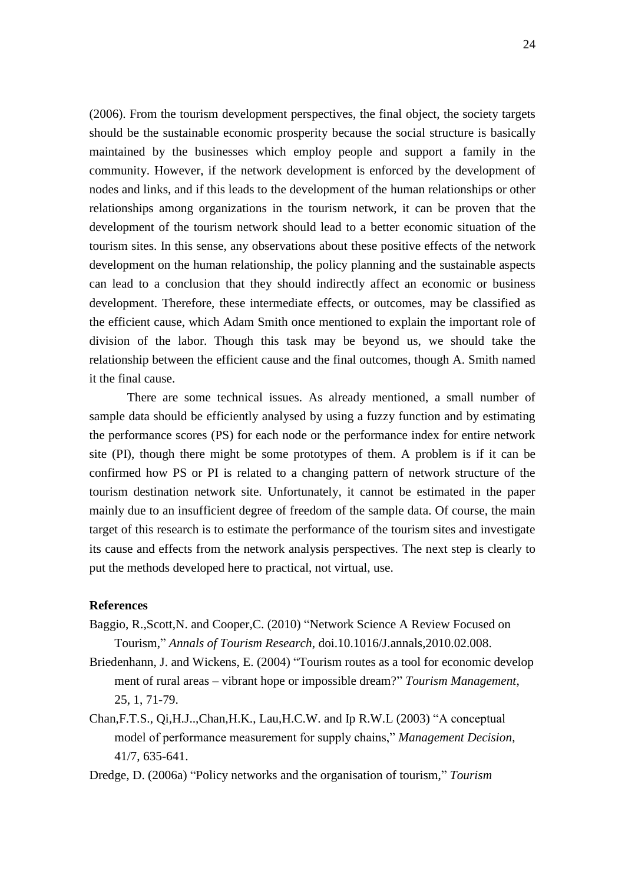(2006). From the tourism development perspectives, the final object, the society targets should be the sustainable economic prosperity because the social structure is basically maintained by the businesses which employ people and support a family in the community. However, if the network development is enforced by the development of nodes and links, and if this leads to the development of the human relationships or other relationships among organizations in the tourism network, it can be proven that the development of the tourism network should lead to a better economic situation of the tourism sites. In this sense, any observations about these positive effects of the network development on the human relationship, the policy planning and the sustainable aspects can lead to a conclusion that they should indirectly affect an economic or business development. Therefore, these intermediate effects, or outcomes, may be classified as the efficient cause, which Adam Smith once mentioned to explain the important role of division of the labor. Though this task may be beyond us, we should take the relationship between the efficient cause and the final outcomes, though A. Smith named it the final cause.

There are some technical issues. As already mentioned, a small number of sample data should be efficiently analysed by using a fuzzy function and by estimating the performance scores (PS) for each node or the performance index for entire network site (PI), though there might be some prototypes of them. A problem is if it can be confirmed how PS or PI is related to a changing pattern of network structure of the tourism destination network site. Unfortunately, it cannot be estimated in the paper mainly due to an insufficient degree of freedom of the sample data. Of course, the main target of this research is to estimate the performance of the tourism sites and investigate its cause and effects from the network analysis perspectives. The next step is clearly to put the methods developed here to practical, not virtual, use.

## **References**

- Baggio, R.,Scott,N. and Cooper,C. (2010) "Network Science A Review Focused on Tourism," *Annals of Tourism Research*, doi.10.1016/J.annals,2010.02.008.
- Briedenhann, J. and Wickens, E. (2004) "Tourism routes as a tool for economic develop ment of rural areas – vibrant hope or impossible dream?" *Tourism Management*, 25, 1, 71-79.
- Chan,F.T.S., Qi,H.J..,Chan,H.K., Lau,H.C.W. and Ip R.W.L (2003) "A conceptual model of performance measurement for supply chains," *Management Decision*, 41/7, 635-641.
- Dredge, D. (2006a) "Policy networks and the organisation of tourism," *Tourism*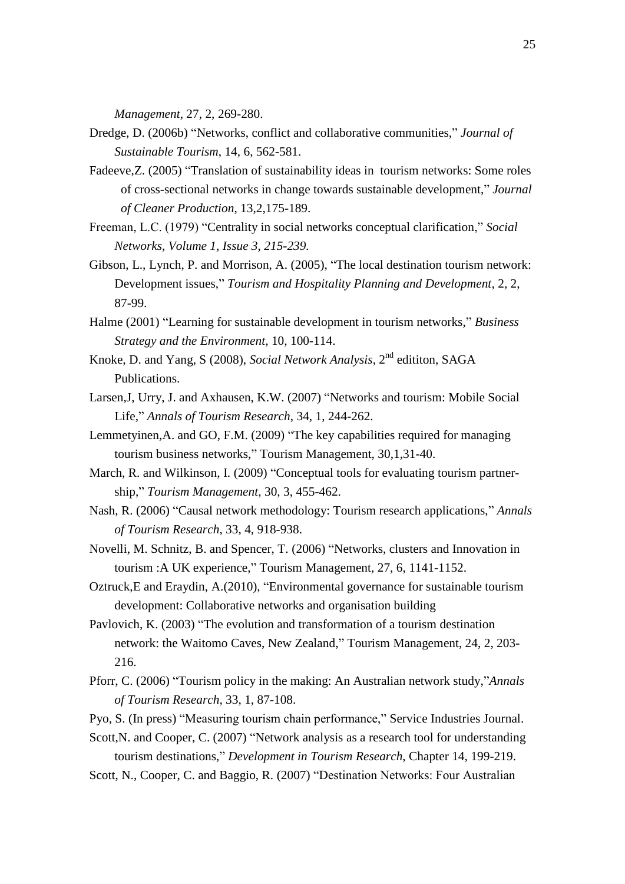*Management*, 27, 2, 269-280.

- Dredge, D. (2006b) "Networks, conflict and collaborative communities," *Journal of Sustainable Tourism*, 14, 6, 562-581.
- Fadeeve,Z. (2005) "Translation of sustainability ideas in tourism networks: Some roles of cross-sectional networks in change towards sustainable development," *Journal of Cleaner Production*, 13,2,175-189.
- Freeman, L.C. (1979) ["Centrality in social networks conceptual clarification,](http://www.sciencedirect.com/science?_ob=ArticleURL&_udi=B6VD1-46BHRKM-C&_user=331728&_coverDate=12%2F31%2F1979&_alid=1161037048&_rdoc=3&_fmt=high&_orig=search&_cdi=5969&_st=13&_docanchor=&_ct=4&_acct=C000016898&_version=1&_urlVersion=0&_userid=331728&md5=ecdc59a18e6ac57de4e57207895660af)" *Social Networks*, *Volume 1, Issue 3*, *215-239.*
- Gibson, L., Lynch, P. and Morrison, A. (2005), "The local destination tourism network: Development issues," *Tourism and Hospitality Planning and Development*, 2, 2, 87-99.
- Halme (2001) "Learning for sustainable development in tourism networks," *Business Strategy and the Environment*, 10, 100-114.
- Knoke, D. and Yang, S (2008), *Social Network Analysis*, 2nd edititon, SAGA Publications.
- Larsen,J, Urry, J. and Axhausen, K.W. (2007) "Networks and tourism: Mobile Social Life," *Annals of Tourism Research*, 34, 1, 244-262.
- Lemmetyinen,A. and GO, F.M. (2009) "The key capabilities required for managing tourism business networks," Tourism Management, 30,1,31-40.
- March, R. and Wilkinson, I. (2009) "Conceptual tools for evaluating tourism partnership," *Tourism Management*, 30, 3, 455-462.
- Nash, R. (2006) "Causal network methodology: Tourism research applications," *Annals of Tourism Research*, 33, 4, 918-938.
- Novelli, M. Schnitz, B. and Spencer, T. (2006) "Networks, clusters and Innovation in tourism :A UK experience," Tourism Management, 27, 6, 1141-1152.
- Oztruck,E and Eraydin, A.(2010), "Environmental governance for sustainable tourism development: Collaborative networks and organisation building
- Pavlovich, K. (2003) "The evolution and transformation of a tourism destination network: the Waitomo Caves, New Zealand," Tourism Management, 24, 2, 203- 216.
- Pforr, C. (2006) "Tourism policy in the making: An Australian network study,"*Annals of Tourism Research,* 33, 1, 87-108.
- Pyo, S. (In press) "Measuring tourism chain performance," Service Industries Journal.
- Scott,N. and Cooper, C. (2007) "Network analysis as a research tool for understanding tourism destinations," *Development in Tourism Research*, Chapter 14, 199-219.
- Scott, N., Cooper, C. and Baggio, R. (2007) "Destination Networks: Four Australian